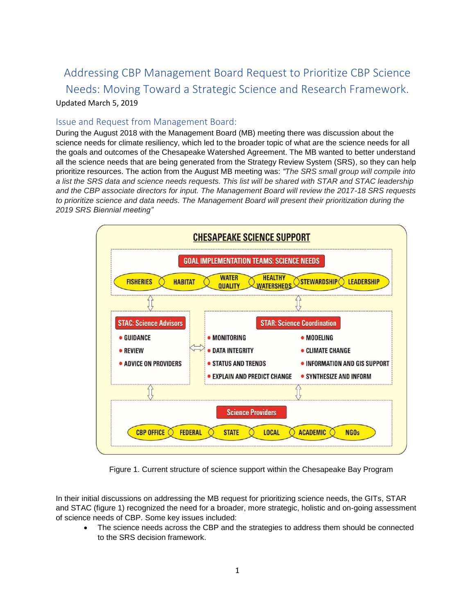# Addressing CBP Management Board Request to Prioritize CBP Science Needs: Moving Toward a Strategic Science and Research Framework. Updated March 5, 2019

## Issue and Request from Management Board:

During the August 2018 with the Management Board (MB) meeting there was discussion about the science needs for climate resiliency, which led to the broader topic of what are the science needs for all the goals and outcomes of the Chesapeake Watershed Agreement. The MB wanted to better understand all the science needs that are being generated from the Strategy Review System (SRS), so they can help prioritize resources. The action from the August MB meeting was: *"The SRS small group will compile into a list the SRS data and science needs requests. This list will be shared with STAR and STAC leadership and the CBP associate directors for input. The Management Board will review the 2017-18 SRS requests to prioritize science and data needs. The Management Board will present their prioritization during the 2019 SRS Biennial meeting"*



Figure 1. Current structure of science support within the Chesapeake Bay Program

In their initial discussions on addressing the MB request for prioritizing science needs, the GITs, STAR and STAC (figure 1) recognized the need for a broader, more strategic, holistic and on-going assessment of science needs of CBP. Some key issues included:

• The science needs across the CBP and the strategies to address them should be connected to the SRS decision framework.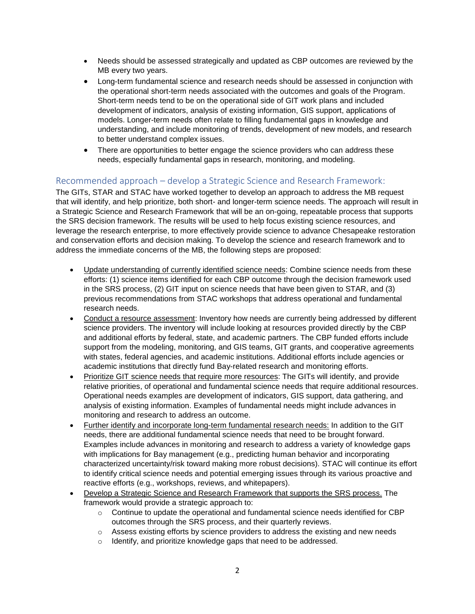- Needs should be assessed strategically and updated as CBP outcomes are reviewed by the MB every two years.
- Long-term fundamental science and research needs should be assessed in conjunction with the operational short-term needs associated with the outcomes and goals of the Program. Short-term needs tend to be on the operational side of GIT work plans and included development of indicators, analysis of existing information, GIS support, applications of models. Longer-term needs often relate to filling fundamental gaps in knowledge and understanding, and include monitoring of trends, development of new models, and research to better understand complex issues.
- There are opportunities to better engage the science providers who can address these needs, especially fundamental gaps in research, monitoring, and modeling.

## Recommended approach – develop a Strategic Science and Research Framework:

The GITs, STAR and STAC have worked together to develop an approach to address the MB request that will identify, and help prioritize, both short- and longer-term science needs. The approach will result in a Strategic Science and Research Framework that will be an on-going, repeatable process that supports the SRS decision framework. The results will be used to help focus existing science resources, and leverage the research enterprise, to more effectively provide science to advance Chesapeake restoration and conservation efforts and decision making. To develop the science and research framework and to address the immediate concerns of the MB, the following steps are proposed:

- Update understanding of currently identified science needs: Combine science needs from these efforts: (1) science items identified for each CBP outcome through the decision framework used in the SRS process, (2) GIT input on science needs that have been given to STAR, and (3) previous recommendations from STAC workshops that address operational and fundamental research needs.
- Conduct a resource assessment: Inventory how needs are currently being addressed by different science providers. The inventory will include looking at resources provided directly by the CBP and additional efforts by federal, state, and academic partners. The CBP funded efforts include support from the modeling, monitoring, and GIS teams, GIT grants, and cooperative agreements with states, federal agencies, and academic institutions. Additional efforts include agencies or academic institutions that directly fund Bay-related research and monitoring efforts.
- Prioritize GIT science needs that require more resources: The GITs will identify, and provide relative priorities, of operational and fundamental science needs that require additional resources. Operational needs examples are development of indicators, GIS support, data gathering, and analysis of existing information. Examples of fundamental needs might include advances in monitoring and research to address an outcome.
- Further identify and incorporate long-term fundamental research needs: In addition to the GIT needs, there are additional fundamental science needs that need to be brought forward. Examples include advances in monitoring and research to address a variety of knowledge gaps with implications for Bay management (e.g., predicting human behavior and incorporating characterized uncertainty/risk toward making more robust decisions). STAC will continue its effort to identify critical science needs and potential emerging issues through its various proactive and reactive efforts (e.g., workshops, reviews, and whitepapers).
- Develop a Strategic Science and Research Framework that supports the SRS process. The framework would provide a strategic approach to:
	- $\circ$  Continue to update the operational and fundamental science needs identified for CBP outcomes through the SRS process, and their quarterly reviews.
	- $\circ$  Assess existing efforts by science providers to address the existing and new needs
	- o Identify, and prioritize knowledge gaps that need to be addressed.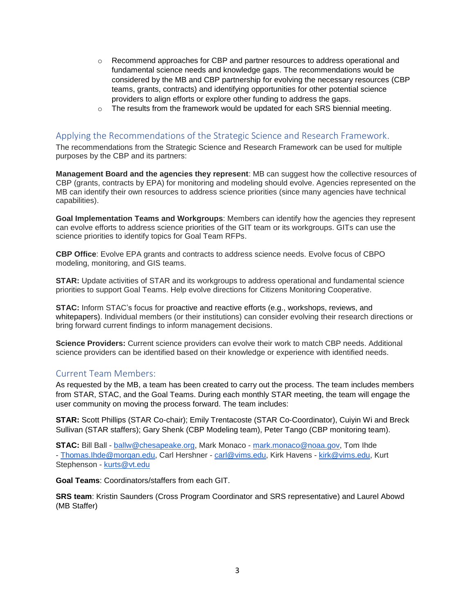- $\circ$  Recommend approaches for CBP and partner resources to address operational and fundamental science needs and knowledge gaps. The recommendations would be considered by the MB and CBP partnership for evolving the necessary resources (CBP teams, grants, contracts) and identifying opportunities for other potential science providers to align efforts or explore other funding to address the gaps.
- $\circ$  The results from the framework would be updated for each SRS biennial meeting.

## Applying the Recommendations of the Strategic Science and Research Framework.

The recommendations from the Strategic Science and Research Framework can be used for multiple purposes by the CBP and its partners:

**Management Board and the agencies they represent**: MB can suggest how the collective resources of CBP (grants, contracts by EPA) for monitoring and modeling should evolve. Agencies represented on the MB can identify their own resources to address science priorities (since many agencies have technical capabilities).

**Goal Implementation Teams and Workgroups**: Members can identify how the agencies they represent can evolve efforts to address science priorities of the GIT team or its workgroups. GITs can use the science priorities to identify topics for Goal Team RFPs.

**CBP Office**: Evolve EPA grants and contracts to address science needs. Evolve focus of CBPO modeling, monitoring, and GIS teams.

**STAR:** Update activities of STAR and its workgroups to address operational and fundamental science priorities to support Goal Teams. Help evolve directions for Citizens Monitoring Cooperative.

**STAC:** Inform STAC's focus for proactive and reactive efforts (e.g., workshops, reviews, and whitepapers). Individual members (or their institutions) can consider evolving their research directions or bring forward current findings to inform management decisions.

**Science Providers:** Current science providers can evolve their work to match CBP needs. Additional science providers can be identified based on their knowledge or experience with identified needs.

### Current Team Members:

As requested by the MB, a team has been created to carry out the process. The team includes members from STAR, STAC, and the Goal Teams. During each monthly STAR meeting, the team will engage the user community on moving the process forward. The team includes:

**STAR:** Scott Phillips (STAR Co-chair); Emily Trentacoste (STAR Co-Coordinator), Cuiyin Wi and Breck Sullivan (STAR staffers); Gary Shenk (CBP Modeling team), Peter Tango (CBP monitoring team).

**STAC:** Bill Ball - [ballw@chesapeake.org,](mailto:ballw@chesapeake.org) Mark Monaco - [mark.monaco@noaa.gov,](mailto:mark.monaco@noaa.gov) Tom Ihde - [Thomas.Ihde@morgan.edu,](mailto:Thomas.Ihde@morgan.edu) Carl Hershner - [carl@vims.edu,](mailto:carl@vims.edu) Kirk Havens - [kirk@vims.edu,](mailto:kirk@vims.edu) Kurt Stephenson - [kurts@vt.edu](mailto:kurts@vt.edu)

**Goal Teams**: Coordinators/staffers from each GIT.

**SRS team**: Kristin Saunders (Cross Program Coordinator and SRS representative) and Laurel Abowd (MB Staffer)